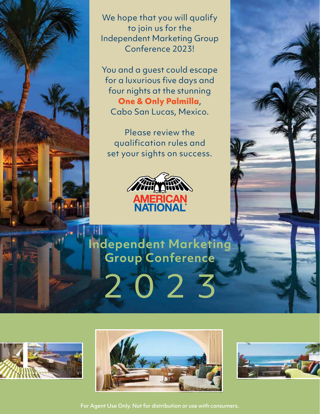

We hope that you will qualify to join us for the Independent Marketing Group Conference 2023!

You and a guest could escape for a luxurious five days and four nights at the stunning **One & Only Palmilla**, Cabo San Lucas, Mexico.

Please review the qualification rules and set your sights on success.



**Independent Marketing Group Conference**

2 0 2 3







For Agent Use Only. Not for distribution or use with consumers.